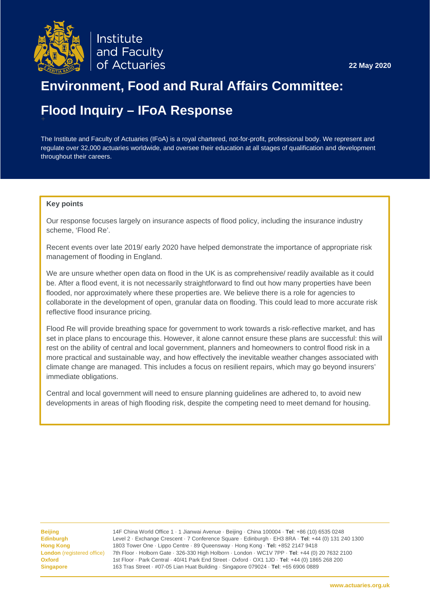

# **Environment, Food and Rural Affairs Committee:**

# **Flood Inquiry – IFoA Response** +

The Institute and Faculty of Actuaries (IFoA) is a royal chartered, not-for-profit, professional body. We represent and regulate over 32,000 actuaries worldwide, and oversee their education at all stages of qualification and development throughout their careers.

#### **Key points**

Our response focuses largely on insurance aspects of flood policy, including the insurance industry scheme, 'Flood Re'.

Recent events over late 2019/ early 2020 have helped demonstrate the importance of appropriate risk management of flooding in England.

We are unsure whether open data on flood in the UK is as comprehensive/ readily available as it could be. After a flood event, it is not necessarily straightforward to find out how many properties have been flooded, nor approximately where these properties are. We believe there is a role for agencies to collaborate in the development of open, granular data on flooding. This could lead to more accurate risk reflective flood insurance pricing.

Flood Re will provide breathing space for government to work towards a risk-reflective market, and has set in place plans to encourage this. However, it alone cannot ensure these plans are successful: this will rest on the ability of central and local government, planners and homeowners to control flood risk in a more practical and sustainable way, and how effectively the inevitable weather changes associated with climate change are managed. This includes a focus on resilient repairs, which may go beyond insurers' immediate obligations.

Central and local government will need to ensure planning guidelines are adhered to, to avoid new developments in areas of high flooding risk, despite the competing need to meet demand for housing.

<span id="page-0-0"></span>**Beijing** 14F China World Office 1 · 1 Jianwai Avenue · Beijing · China 100004 · **Tel**: +86 (10) 6535 0248 **Edinburgh** Level 2 · Exchange Crescent · 7 Conference Square · Edinburgh · EH3 8RA · **Tel**: +44 (0) 131 240 1300 **Hong Kong** 1803 Tower One · Lippo Centre · 89 Queensway · Hong Kong · **Tel:** +852 2147 9418 **London** (registered office) 7th Floor · Holborn Gate · 326-330 High Holborn · London · WC1V 7PP · **Tel**: +44 (0) 20 7632 2100 **Oxford** 1st Floor · Park Central · 40/41 Park End Street · Oxford · OX1 1JD · **Tel**: +44 (0) 1865 268 200 **Singapore** 163 Tras Street · #07-05 Lian Huat Building · Singapore 079024 · **Tel**: +65 6906 0889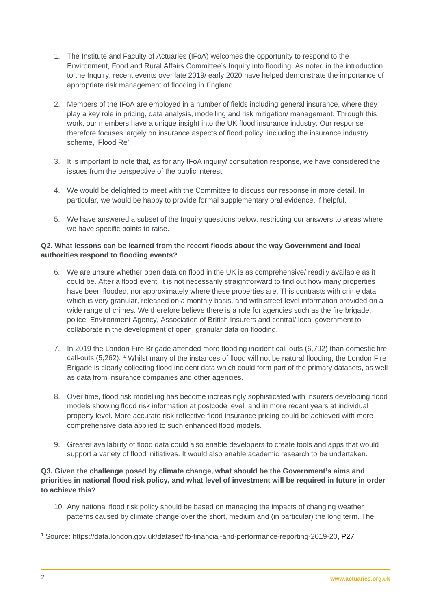- 1. The Institute and Faculty of Actuaries (IFoA) welcomes the opportunity to respond to the Environment, Food and Rural Affairs Committee's Inquiry into flooding. As noted in the introduction to the Inquiry, recent events over late 2019/ early 2020 have helped demonstrate the importance of appropriate risk management of flooding in England.
- 2. Members of the IFoA are employed in a number of fields including general insurance, where they play a key role in pricing, data analysis, modelling and risk mitigation/ management. Through this work, our members have a unique insight into the UK flood insurance industry. Our response therefore focuses largely on insurance aspects of flood policy, including the insurance industry scheme, 'Flood Re'.
- 3. It is important to note that, as for any IFoA inquiry/ consultation response, we have considered the issues from the perspective of the public interest.
- 4. We would be delighted to meet with the Committee to discuss our response in more detail. In particular, we would be happy to provide formal supplementary oral evidence, if helpful.
- 5. We have answered a subset of the Inquiry questions below, restricting our answers to areas where we have specific points to raise.

# **Q2. What lessons can be learned from the recent floods about the way Government and local authorities respond to flooding events?**

- 6. We are unsure whether open data on flood in the UK is as comprehensive/ readily available as it could be. After a flood event, it is not necessarily straightforward to find out how many properties have been flooded, nor approximately where these properties are. This contrasts with crime data which is very granular, released on a monthly basis, and with street-level information provided on a wide range of crimes. We therefore believe there is a role for agencies such as the fire brigade, police, Environment Agency, Association of British Insurers and central/ local government to collaborate in the development of open, granular data on flooding.
- 7. In 2019 the London Fire Brigade attended more flooding incident call-outs (6,792) than domestic fire call-outs (5,262). [1](#page-0-0) Whilst many of the instances of flood will not be natural flooding, the London Fire Brigade is clearly collecting flood incident data which could form part of the primary datasets, as well as data from insurance companies and other agencies.
- 8. Over time, flood risk modelling has become increasingly sophisticated with insurers developing flood models showing flood risk information at postcode level, and in more recent years at individual property level. More accurate risk reflective flood insurance pricing could be achieved with more comprehensive data applied to such enhanced flood models.
- 9. Greater availability of flood data could also enable developers to create tools and apps that would support a variety of flood initiatives. It would also enable academic research to be undertaken.

# **Q3. Given the challenge posed by climate change, what should be the Government's aims and priorities in national flood risk policy, and what level of investment will be required in future in order to achieve this?**

10. Any national flood risk policy should be based on managing the impacts of changing weather patterns caused by climate change over the short, medium and (in particular) the long term. The

 <sup>1</sup> Source: [https://data.london.gov.uk/dataset/lfb-financial-and-performance-reporting-2019-20,](https://protect-eu.mimecast.com/s/hntdCZ862iGOqkhz60Qb?domain=data.london.gov.uk) P27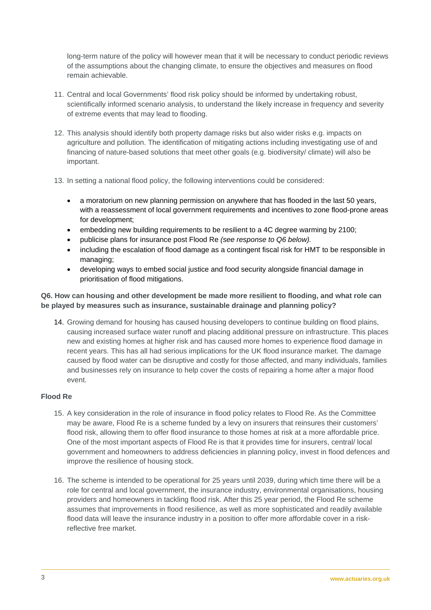long-term nature of the policy will however mean that it will be necessary to conduct periodic reviews of the assumptions about the changing climate, to ensure the objectives and measures on flood remain achievable.

- 11. Central and local Governments' flood risk policy should be informed by undertaking robust, scientifically informed scenario analysis, to understand the likely increase in frequency and severity of extreme events that may lead to flooding.
- 12. This analysis should identify both property damage risks but also wider risks e.g. impacts on agriculture and pollution. The identification of mitigating actions including investigating use of and financing of nature-based solutions that meet other goals (e.g. biodiversity/ climate) will also be important.
- 13. In setting a national flood policy, the following interventions could be considered:
	- a moratorium on new planning permission on anywhere that has flooded in the last 50 years, with a reassessment of local government requirements and incentives to zone flood-prone areas for development;
	- embedding new building requirements to be resilient to a 4C degree warming by 2100;
	- publicise plans for insurance post Flood Re *(see response to Q6 below).*
	- including the escalation of flood damage as a contingent fiscal risk for HMT to be responsible in managing;
	- developing ways to embed social justice and food security alongside financial damage in prioritisation of flood mitigations.

# **Q6. How can housing and other development be made more resilient to flooding, and what role can be played by measures such as insurance, sustainable drainage and planning policy?**

14. Growing demand for housing has caused housing developers to continue building on flood plains, causing increased surface water runoff and placing additional pressure on infrastructure. This places new and existing homes at higher risk and has caused more homes to experience flood damage in recent years. This has all had serious implications for the UK flood insurance market. The damage caused by flood water can be disruptive and costly for those affected, and many individuals, families and businesses rely on insurance to help cover the costs of repairing a home after a major flood event.

### **Flood Re**

- 15. A key consideration in the role of insurance in flood policy relates to Flood Re. As the Committee may be aware, Flood Re is a scheme funded by a levy on insurers that reinsures their customers' flood risk, allowing them to offer flood insurance to those homes at risk at a more affordable price. One of the most important aspects of Flood Re is that it provides time for insurers, central/ local government and homeowners to address deficiencies in planning policy, invest in flood defences and improve the resilience of housing stock.
- 16. The scheme is intended to be operational for 25 years until 2039, during which time there will be a role for central and local government, the insurance industry, environmental organisations, housing providers and homeowners in tackling flood risk. After this 25 year period, the Flood Re scheme assumes that improvements in flood resilience, as well as more sophisticated and readily available flood data will leave the insurance industry in a position to offer more affordable cover in a riskreflective free market.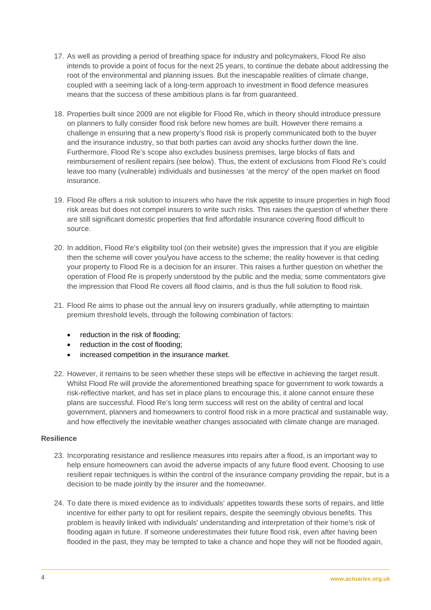- 17. As well as providing a period of breathing space for industry and policymakers, Flood Re also intends to provide a point of focus for the next 25 years, to continue the debate about addressing the root of the environmental and planning issues. But the inescapable realities of climate change, coupled with a seeming lack of a long-term approach to investment in flood defence measures means that the success of these ambitious plans is far from guaranteed.
- 18. Properties built since 2009 are not eligible for Flood Re, which in theory should introduce pressure on planners to fully consider flood risk before new homes are built. However there remains a challenge in ensuring that a new property's flood risk is properly communicated both to the buyer and the insurance industry, so that both parties can avoid any shocks further down the line. Furthermore, Flood Re's scope also excludes business premises, large blocks of flats and reimbursement of resilient repairs (see below). Thus, the extent of exclusions from Flood Re's could leave too many (vulnerable) individuals and businesses 'at the mercy' of the open market on flood insurance.
- 19. Flood Re offers a risk solution to insurers who have the risk appetite to insure properties in high flood risk areas but does not compel insurers to write such risks. This raises the question of whether there are still significant domestic properties that find affordable insurance covering flood difficult to source.
- 20. In addition, Flood Re's eligibility tool (on their website) gives the impression that if you are eligible then the scheme will cover you/you have access to the scheme; the reality however is that ceding your property to Flood Re is a decision for an insurer. This raises a further question on whether the operation of Flood Re is properly understood by the public and the media; some commentators give the impression that Flood Re covers all flood claims, and is thus the full solution to flood risk.
- 21. Flood Re aims to phase out the annual levy on insurers gradually, while attempting to maintain premium threshold levels, through the following combination of factors:
	- reduction in the risk of flooding;
	- reduction in the cost of flooding;
	- increased competition in the insurance market.
- 22. However, it remains to be seen whether these steps will be effective in achieving the target result. Whilst Flood Re will provide the aforementioned breathing space for government to work towards a risk-reflective market, and has set in place plans to encourage this, it alone cannot ensure these plans are successful. Flood Re's long term success will rest on the ability of central and local government, planners and homeowners to control flood risk in a more practical and sustainable way, and how effectively the inevitable weather changes associated with climate change are managed.

### **Resilience**

- 23. Incorporating resistance and resilience measures into repairs after a flood, is an important way to help ensure homeowners can avoid the adverse impacts of any future flood event. Choosing to use resilient repair techniques is within the control of the insurance company providing the repair, but is a decision to be made jointly by the insurer and the homeowner.
- 24. To date there is mixed evidence as to individuals' appetites towards these sorts of repairs, and little incentive for either party to opt for resilient repairs, despite the seemingly obvious benefits. This problem is heavily linked with individuals' understanding and interpretation of their home's risk of flooding again in future. If someone underestimates their future flood risk, even after having been flooded in the past, they may be tempted to take a chance and hope they will not be flooded again,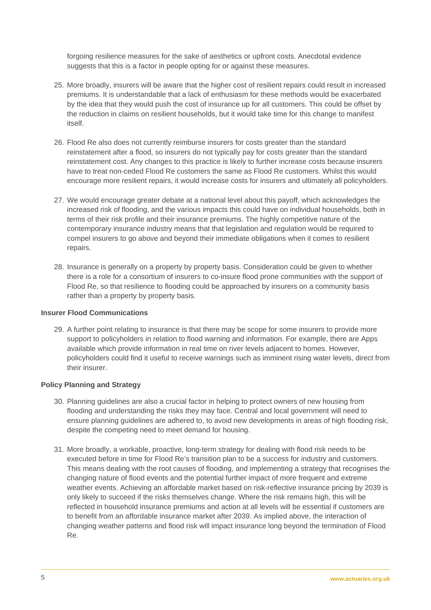forgoing resilience measures for the sake of aesthetics or upfront costs. Anecdotal evidence suggests that this is a factor in people opting for or against these measures.

- 25. More broadly, insurers will be aware that the higher cost of resilient repairs could result in increased premiums. It is understandable that a lack of enthusiasm for these methods would be exacerbated by the idea that they would push the cost of insurance up for all customers. This could be offset by the reduction in claims on resilient households, but it would take time for this change to manifest itself.
- 26. Flood Re also does not currently reimburse insurers for costs greater than the standard reinstatement after a flood, so insurers do not typically pay for costs greater than the standard reinstatement cost. Any changes to this practice is likely to further increase costs because insurers have to treat non-ceded Flood Re customers the same as Flood Re customers. Whilst this would encourage more resilient repairs, it would increase costs for insurers and ultimately all policyholders.
- 27. We would encourage greater debate at a national level about this payoff, which acknowledges the increased risk of flooding, and the various impacts this could have on individual households, both in terms of their risk profile and their insurance premiums. The highly competitive nature of the contemporary insurance industry means that that legislation and regulation would be required to compel insurers to go above and beyond their immediate obligations when it comes to resilient repairs.
- 28. Insurance is generally on a property by property basis. Consideration could be given to whether there is a role for a consortium of insurers to co-insure flood prone communities with the support of Flood Re, so that resilience to flooding could be approached by insurers on a community basis rather than a property by property basis.

# **Insurer Flood Communications**

29. A further point relating to insurance is that there may be scope for some insurers to provide more support to policyholders in relation to flood warning and information. For example, there are Apps available which provide information in real time on river levels adjacent to homes. However, policyholders could find it useful to receive warnings such as imminent rising water levels, direct from their insurer.

## **Policy Planning and Strategy**

- 30. Planning guidelines are also a crucial factor in helping to protect owners of new housing from flooding and understanding the risks they may face. Central and local government will need to ensure planning guidelines are adhered to, to avoid new developments in areas of high flooding risk, despite the competing need to meet demand for housing.
- 31. More broadly, a workable, proactive, long-term strategy for dealing with flood risk needs to be executed before in time for Flood Re's transition plan to be a success for industry and customers. This means dealing with the root causes of flooding, and implementing a strategy that recognises the changing nature of flood events and the potential further impact of more frequent and extreme weather events. Achieving an affordable market based on risk-reflective insurance pricing by 2039 is only likely to succeed if the risks themselves change. Where the risk remains high, this will be reflected in household insurance premiums and action at all levels will be essential if customers are to benefit from an affordable insurance market after 2039. As implied above, the interaction of changing weather patterns and flood risk will impact insurance long beyond the termination of Flood Re.